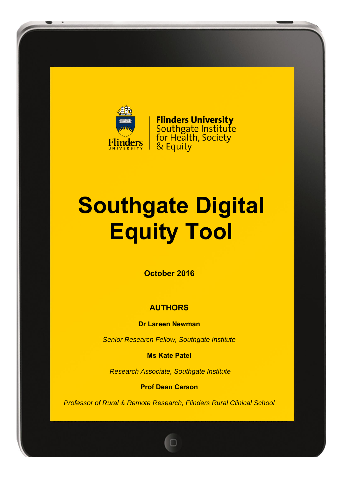

**Flinders University** Southgate Institute<br>for Health, Society & Equity

# **Southgate Digital Equity Tool**

**October 2016**

### **AUTHORS**

**Dr Lareen Newman**

*Senior Research Fellow, Southgate Institute*

**Ms Kate Patel**

*Research Associate, Southgate Institute*

**Prof Dean Carson**

*Professor of Rural & Remote Research, Flinders Rural Clinical School*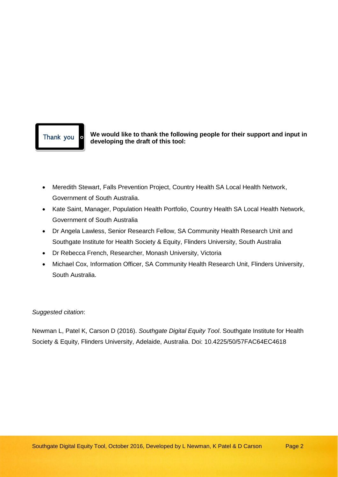Thank you **o** We would like to thank the following people for their support and input in **developing the draft of this tool:**

- Meredith Stewart, Falls Prevention Project, Country Health SA Local Health Network, Government of South Australia.
- Kate Saint, Manager, Population Health Portfolio, Country Health SA Local Health Network, Government of South Australia
- Dr Angela Lawless, Senior Research Fellow, SA Community Health Research Unit and Southgate Institute for Health Society & Equity, Flinders University, South Australia
- Dr Rebecca French, Researcher, Monash University, Victoria
- Michael Cox, Information Officer, SA Community Health Research Unit, Flinders University, South Australia.

#### *Suggested citation*:

Newman L, Patel K, Carson D (2016). *Southgate Digital Equity Tool*. Southgate Institute for Health Society & Equity, Flinders University, Adelaide, Australia. Doi: 10.4225/50/57FAC64EC4618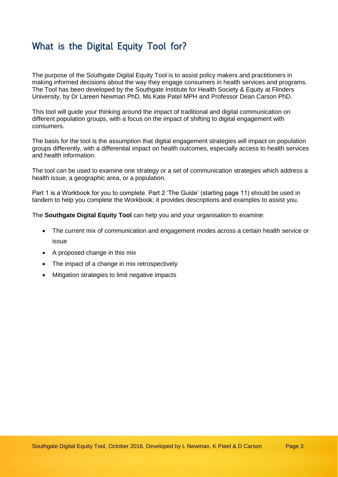## What is the Digital Equity Tool for?

The purpose of the Southgate Digital Equity Tool is to assist policy makers and practitioners in making informed decisions about the way they engage consumers in health services and programs. The Tool has been developed by the Southgate Institute for Health Society & Equity at Flinders University, by Dr Lareen Newman PhD, Ms Kate Patel MPH and Professor Dean Carson PhD.

This tool will guide your thinking around the impact of traditional and digital communication on different population groups, with a focus on the impact of shifting to digital engagement with consumers.

The basis for the tool is the assumption that digital engagement strategies will impact on population groups differently, with a differential impact on health outcomes, especially access to health services and health information.

The tool can be used to examine one strategy or a set of communication strategies which address a health issue, a geographic area, or a population.

Part 1 is a Workbook for you to complete. Part 2 'The Guide' (starting page 11) should be used in tandem to help you complete the Workbook; it provides descriptions and examples to assist you.

The **Southgate Digital Equity Tool** can help you and your organisation to examine:

- The current mix of communication and engagement modes across a certain health service or issue
- A proposed change in this mix
- The impact of a change in mix retrospectively
- Mitigation strategies to limit negative impacts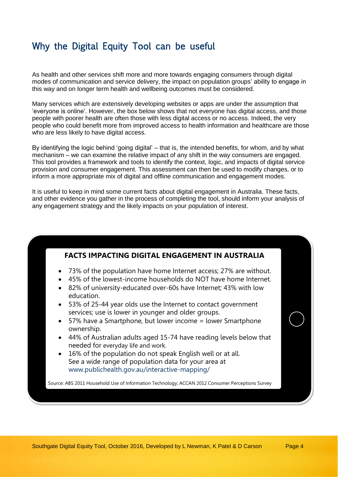## Why the Digital Equity Tool can be useful

As health and other services shift more and more towards engaging consumers through digital modes of communication and service delivery, the impact on population groups' ability to engage in this way and on longer term health and wellbeing outcomes must be considered.

Many services which are extensively developing websites or apps are under the assumption that 'everyone is online'. However, the box below shows that not everyone has digital access, and those people with poorer health are often those with less digital access or no access. Indeed, the very people who could benefit more from improved access to health information and healthcare are those who are less likely to have digital access.

By identifying the logic behind 'going digital' – that is, the intended benefits, for whom, and by what mechanism – we can examine the relative impact of any shift in the way consumers are engaged. This tool provides a framework and tools to identify the context, logic, and impacts of digital service provision and consumer engagement. This assessment can then be used to modify changes, or to inform a more appropriate mix of digital and offline communication and engagement modes.

It is useful to keep in mind some current facts about digital engagement in Australia. These facts, and other evidence you gather in the process of completing the tool, should inform your analysis of any engagement strategy and the likely impacts on your population of interest.

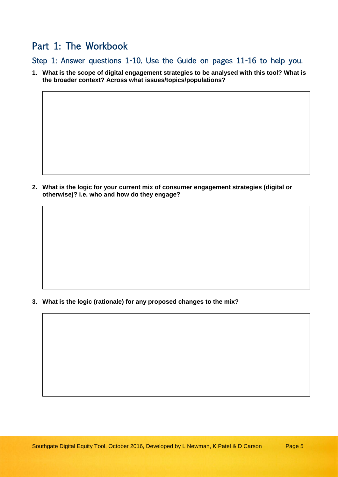## Part 1: The Workbook

Step 1: Answer questions 1-10. Use the Guide on pages 11-16 to help you.

**1. What is the scope of digital engagement strategies to be analysed with this tool? What is the broader context? Across what issues/topics/populations?**

**2. What is the logic for your current mix of consumer engagement strategies (digital or otherwise)? i.e. who and how do they engage?**

**3. What is the logic (rationale) for any proposed changes to the mix?**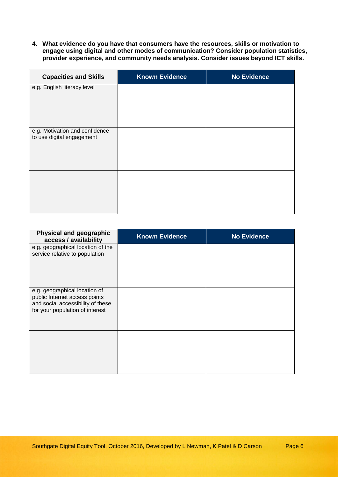**4. What evidence do you have that consumers have the resources, skills or motivation to engage using digital and other modes of communication? Consider population statistics, provider experience, and community needs analysis. Consider issues beyond ICT skills.**

| <b>Capacities and Skills</b>                                | <b>Known Evidence</b> | <b>No Evidence</b> |
|-------------------------------------------------------------|-----------------------|--------------------|
| e.g. English literacy level                                 |                       |                    |
|                                                             |                       |                    |
|                                                             |                       |                    |
|                                                             |                       |                    |
| e.g. Motivation and confidence<br>to use digital engagement |                       |                    |
|                                                             |                       |                    |
|                                                             |                       |                    |
|                                                             |                       |                    |
|                                                             |                       |                    |
|                                                             |                       |                    |
|                                                             |                       |                    |
|                                                             |                       |                    |

| <b>Physical and geographic</b><br>access / availability                                                                                | <b>Known Evidence</b> | <b>No Evidence</b> |
|----------------------------------------------------------------------------------------------------------------------------------------|-----------------------|--------------------|
| e.g. geographical location of the<br>service relative to population                                                                    |                       |                    |
| e.g. geographical location of<br>public Internet access points<br>and social accessibility of these<br>for your population of interest |                       |                    |
|                                                                                                                                        |                       |                    |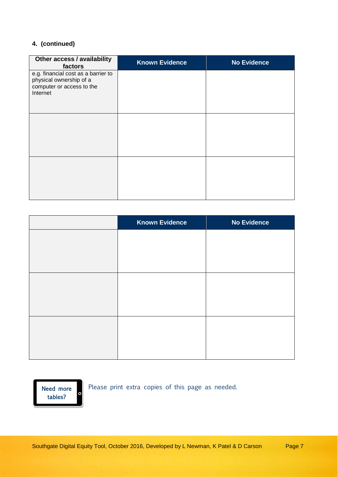#### **4. (continued)**

| Other access / availability<br>factors                                                                  | <b>Known Evidence</b> | <b>No Evidence</b> |
|---------------------------------------------------------------------------------------------------------|-----------------------|--------------------|
| e.g. financial cost as a barrier to<br>physical ownership of a<br>computer or access to the<br>Internet |                       |                    |
|                                                                                                         |                       |                    |
|                                                                                                         |                       |                    |

| <b>Known Evidence</b> | <b>No Evidence</b> |
|-----------------------|--------------------|
|                       |                    |
|                       |                    |
|                       |                    |
|                       |                    |
|                       |                    |
|                       |                    |
|                       |                    |
|                       |                    |
|                       |                    |

Need more  $\circ$ tables?

Please print extra copies of this page as needed.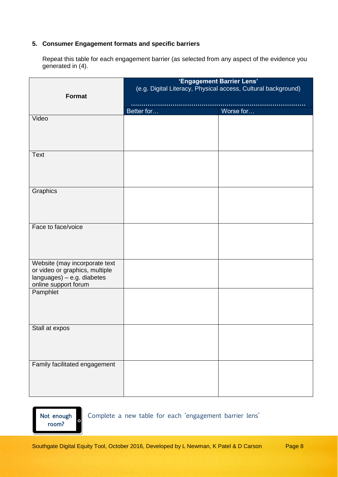#### **5. Consumer Engagement formats and specific barriers**

Repeat this table for each engagement barrier (as selected from any aspect of the evidence you generated in (4).

| <b>Format</b>                                                                                                         | 'Engagement Barrier Lens'<br>(e.g. Digital Literacy, Physical access, Cultural background) |           |
|-----------------------------------------------------------------------------------------------------------------------|--------------------------------------------------------------------------------------------|-----------|
|                                                                                                                       | Better for                                                                                 | Worse for |
| Video                                                                                                                 |                                                                                            |           |
| <b>Text</b>                                                                                                           |                                                                                            |           |
| Graphics                                                                                                              |                                                                                            |           |
| Face to face/voice                                                                                                    |                                                                                            |           |
| Website (may incorporate text<br>or video or graphics, multiple<br>languages) - e.g. diabetes<br>online support forum |                                                                                            |           |
| Pamphlet                                                                                                              |                                                                                            |           |
| Stall at expos                                                                                                        |                                                                                            |           |
| Family facilitated engagement                                                                                         |                                                                                            |           |

Not enough room?

Complete a new table for each 'engagement barrier lens'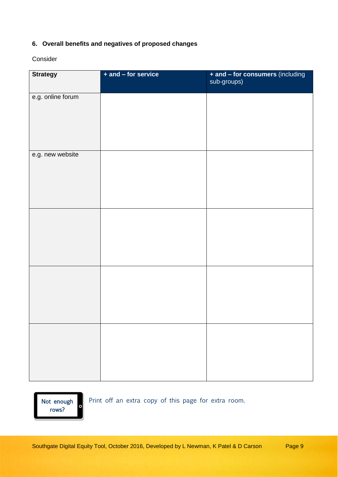#### **6. Overall benefits and negatives of proposed changes**

Consider

| <b>Strategy</b>   | + and - for service | + and – for consumers (including<br>sub-groups) |
|-------------------|---------------------|-------------------------------------------------|
|                   |                     |                                                 |
| e.g. online forum |                     |                                                 |
| e.g. new website  |                     |                                                 |
|                   |                     |                                                 |
|                   |                     |                                                 |
|                   |                     |                                                 |

Not enough  $\circ$ rows?

Print off an extra copy of this page for extra room.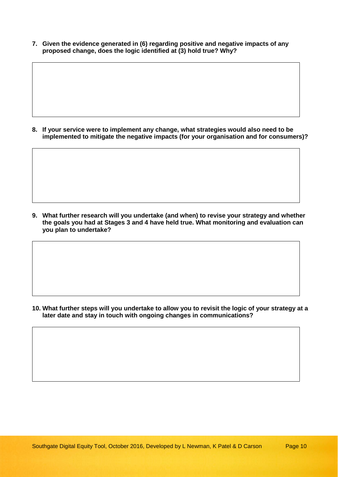**7. Given the evidence generated in (6) regarding positive and negative impacts of any proposed change, does the logic identified at (3) hold true? Why?**

**8. If your service were to implement any change, what strategies would also need to be implemented to mitigate the negative impacts (for your organisation and for consumers)?**

**9. What further research will you undertake (and when) to revise your strategy and whether the goals you had at Stages 3 and 4 have held true. What monitoring and evaluation can you plan to undertake?**

**10. What further steps will you undertake to allow you to revisit the logic of your strategy at a later date and stay in touch with ongoing changes in communications?**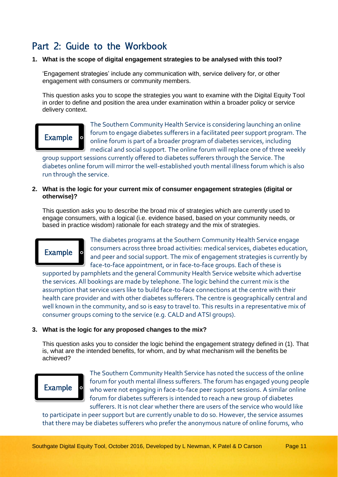## Part 2: Guide to the Workbook

#### **1. What is the scope of digital engagement strategies to be analysed with this tool?**

'Engagement strategies' include any communication with, service delivery for, or other engagement with consumers or community members.

This question asks you to scope the strategies you want to examine with the Digital Equity Tool in order to define and position the area under examination within a broader policy or service delivery context.

## **Example**

The Southern Community Health Service is considering launching an online forum to engage diabetes sufferers in a facilitated peer support program. The online forum is part of a broader program of diabetes services, including medical and social support. The online forum will replace one of three weekly

group support sessions currently offered to diabetes sufferers through the Service. The diabetes online forum will mirror the well-established youth mental illness forum which is also run through the service.

#### **2. What is the logic for your current mix of consumer engagement strategies (digital or otherwise)?**

This question asks you to describe the broad mix of strategies which are currently used to engage consumers, with a logical (i.e. evidence based, based on your community needs, or based in practice wisdom) rationale for each strategy and the mix of strategies.



The diabetes programs at the Southern Community Health Service engage consumers across three broad activities: medical services, diabetes education, and peer and social support. The mix of engagement strategies is currently by face-to-face appointment, or in face-to-face groups. Each of these is

supported by pamphlets and the general Community Health Service website which advertise the services. All bookings are made by telephone. The logic behind the current mix is the assumption that service users like to build face-to-face connections at the centre with their health care provider and with other diabetes sufferers. The centre is geographically central and well known in the community, and so is easy to travel to. This results in a representative mix of consumer groups coming to the service (e.g. CALD and ATSI groups).

#### **3. What is the logic for any proposed changes to the mix?**

This question asks you to consider the logic behind the engagement strategy defined in (1). That is, what are the intended benefits, for whom, and by what mechanism will the benefits be achieved?



The Southern Community Health Service has noted the success of the online forum for youth mental illness sufferers. The forum has engaged young people who were not engaging in face-to-face peer support sessions. A similar online forum for diabetes sufferers is intended to reach a new group of diabetes sufferers. It is not clear whether there are users of the service who would like

to participate in peer support but are currently unable to do so. However, the service assumes that there may be diabetes sufferers who prefer the anonymous nature of online forums, who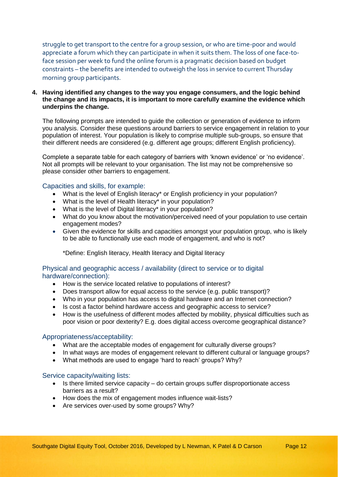struggle to get transport to the centre for a group session, or who are time-poor and would appreciate a forum which they can participate in when it suits them. The loss of one face-toface session per week to fund the online forum is a pragmatic decision based on budget constraints – the benefits are intended to outweigh the loss in service to current Thursday morning group participants.

#### **4. Having identified any changes to the way you engage consumers, and the logic behind the change and its impacts, it is important to more carefully examine the evidence which underpins the change.**

The following prompts are intended to guide the collection or generation of evidence to inform you analysis. Consider these questions around barriers to service engagement in relation to your population of interest. Your population is likely to comprise multiple sub-groups, so ensure that their different needs are considered (e.g. different age groups; different English proficiency).

Complete a separate table for each category of barriers with 'known evidence' or 'no evidence'. Not all prompts will be relevant to your organisation. The list may not be comprehensive so please consider other barriers to engagement.

#### Capacities and skills, for example:

- What is the level of English literacy\* or English proficiency in your population?
- What is the level of Health literacy\* in your population?
- What is the level of Digital literacy\* in your population?
- What do you know about the motivation/perceived need of your population to use certain engagement modes?
- Given the evidence for skills and capacities amongst your population group, who is likely to be able to functionally use each mode of engagement, and who is not?

\*Define: English literacy, Health literacy and Digital literacy

#### Physical and geographic access / availability (direct to service or to digital hardware/connection):

- How is the service located relative to populations of interest?
- Does transport allow for equal access to the service (e.g. public transport)?
- Who in your population has access to digital hardware and an Internet connection?
- Is cost a factor behind hardware access and geographic access to service?
- How is the usefulness of different modes affected by mobility, physical difficulties such as poor vision or poor dexterity? E.g. does digital access overcome geographical distance?

#### Appropriateness/acceptability:

- What are the acceptable modes of engagement for culturally diverse groups?
- In what ways are modes of engagement relevant to different cultural or language groups?
- What methods are used to engage 'hard to reach' groups? Why?

#### Service capacity/waiting lists:

- Is there limited service capacity do certain groups suffer disproportionate access barriers as a result?
- How does the mix of engagement modes influence wait-lists?
- Are services over-used by some groups? Why?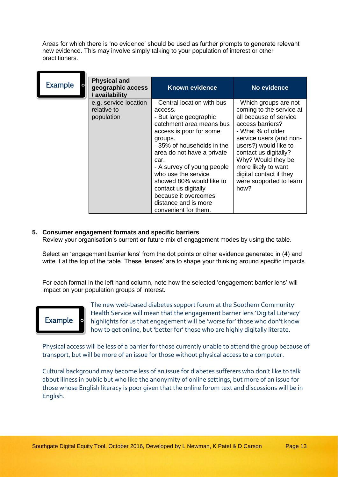Areas for which there is 'no evidence' should be used as further prompts to generate relevant new evidence. This may involve simply talking to your population of interest or other practitioners.

| Example | <b>Physical and</b><br>$\circ$<br>geographic access<br>/ availability | <b>Known evidence</b>                                                                                                                                                                                                                                                                                                                                                                   | No evidence                                                                                                                                                                                                                                                                                                   |
|---------|-----------------------------------------------------------------------|-----------------------------------------------------------------------------------------------------------------------------------------------------------------------------------------------------------------------------------------------------------------------------------------------------------------------------------------------------------------------------------------|---------------------------------------------------------------------------------------------------------------------------------------------------------------------------------------------------------------------------------------------------------------------------------------------------------------|
|         | e.g. service location<br>relative to<br>population                    | - Central location with bus<br>access.<br>- But large geographic<br>catchment area means bus<br>access is poor for some<br>groups.<br>- 35% of households in the<br>area do not have a private<br>car.<br>- A survey of young people<br>who use the service<br>showed 80% would like to<br>contact us digitally<br>because it overcomes<br>distance and is more<br>convenient for them. | - Which groups are not<br>coming to the service at<br>all because of service<br>access barriers?<br>- What % of older<br>service users (and non-<br>users?) would like to<br>contact us digitally?<br>Why? Would they be<br>more likely to want<br>digital contact if they<br>were supported to learn<br>how? |

#### **5. Consumer engagement formats and specific barriers**

Review your organisation's current **or** future mix of engagement modes by using the table.

Select an 'engagement barrier lens' from the dot points or other evidence generated in (4) and write it at the top of the table. These 'lenses' are to shape your thinking around specific impacts.

For each format in the left hand column, note how the selected 'engagement barrier lens' will impact on your population groups of interest.



The new web-based diabetes support forum at the Southern Community Health Service will mean that the engagement barrier lens 'Digital Literacy' highlights for us that engagement will be 'worse for' those who don't know how to get online, but 'better for' those who are highly digitally literate.

Physical access will be less of a barrier for those currently unable to attend the group because of transport, but will be more of an issue for those without physical access to a computer.

Cultural background may become less of an issue for diabetes sufferers who don't like to talk about illness in public but who like the anonymity of online settings, but more of an issue for those whose English literacy is poor given that the online forum text and discussions will be in English.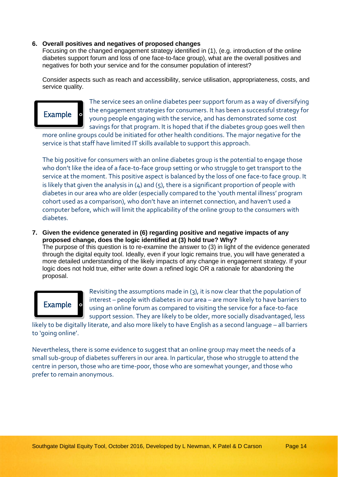#### **6. Overall positives and negatives of proposed changes**

Focusing on the changed engagement strategy identified in (1), (e.g. introduction of the online diabetes support forum and loss of one face-to-face group), what are the overall positives and negatives for both your service and for the consumer population of interest?

Consider aspects such as reach and accessibility, service utilisation, appropriateness, costs, and service quality.



The service sees an online diabetes peer support forum as a way of diversifying the engagement strategies for consumers. It has been a successful strategy for young people engaging with the service, and has demonstrated some cost savings for that program. It is hoped that if the diabetes group goes well then

more online groups could be initiated for other health conditions. The major negative for the service is that staff have limited IT skills available to support this approach.

The big positive for consumers with an online diabetes group is the potential to engage those who don't like the idea of a face-to-face group setting or who struggle to get transport to the service at the moment. This positive aspect is balanced by the loss of one face-to face group. It is likely that given the analysis in  $(4)$  and  $(5)$ , there is a significant proportion of people with diabetes in our area who are older (especially compared to the 'youth mental illness' program cohort used as a comparison), who don't have an internet connection, and haven't used a computer before, which will limit the applicability of the online group to the consumers with diabetes.

**7. Given the evidence generated in (6) regarding positive and negative impacts of any proposed change, does the logic identified at (3) hold true? Why?**

The purpose of this question is to re-examine the answer to (3) in light of the evidence generated through the digital equity tool. Ideally, even if your logic remains true, you will have generated a more detailed understanding of the likely impacts of any change in engagement strategy. If your logic does not hold true, either write down a refined logic OR a rationale for abandoning the proposal.



Revisiting the assumptions made in (3), it is now clear that the population of interest – people with diabetes in our area – are more likely to have barriers to using an online forum as compared to visiting the service for a face-to-face support session. They are likely to be older, more socially disadvantaged, less

likely to be digitally literate, and also more likely to have English as a second language – all barriers to 'going online'.

Nevertheless, there is some evidence to suggest that an online group may meet the needs of a small sub-group of diabetes sufferers in our area. In particular, those who struggle to attend the centre in person, those who are time-poor, those who are somewhat younger, and those who prefer to remain anonymous.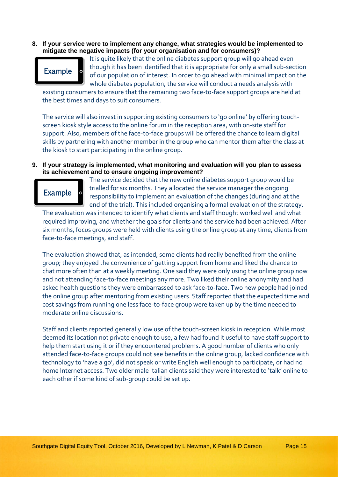**8. If your service were to implement any change, what strategies would be implemented to mitigate the negative impacts (for your organisation and for consumers)?**



It is quite likely that the online diabetes support group will go ahead even though it has been identified that it is appropriate for only a small sub-section of our population of interest. In order to go ahead with minimal impact on the whole diabetes population, the service will conduct a needs analysis with

existing consumers to ensure that the remaining two face-to-face support groups are held at the best times and days to suit consumers.

The service will also invest in supporting existing consumers to 'go online' by offering touchscreen kiosk style access to the online forum in the reception area, with on-site staff for support. Also, members of the face-to-face groups will be offered the chance to learn digital skills by partnering with another member in the group who can mentor them after the class at the kiosk to start participating in the online group.

#### **9. If your strategy is implemented, what monitoring and evaluation will you plan to assess its achievement and to ensure ongoing improvement?**



The service decided that the new online diabetes support group would be trialled for six months. They allocated the service manager the ongoing responsibility to implement an evaluation of the changes (during and at the end of the trial). This included organising a formal evaluation of the strategy.

The evaluation was intended to identify what clients and staff thought worked well and what required improving, and whether the goals for clients and the service had been achieved. After six months, focus groups were held with clients using the online group at any time, clients from face-to-face meetings, and staff.

The evaluation showed that, as intended, some clients had really benefited from the online group; they enjoyed the convenience of getting support from home and liked the chance to chat more often than at a weekly meeting. One said they were only using the online group now and not attending face-to-face meetings any more. Two liked their online anonymity and had asked health questions they were embarrassed to ask face-to-face. Two new people had joined the online group after mentoring from existing users. Staff reported that the expected time and cost savings from running one less face-to-face group were taken up by the time needed to moderate online discussions.

Staff and clients reported generally low use of the touch-screen kiosk in reception. While most deemed its location not private enough to use, a few had found it useful to have staff support to help them start using it or if they encountered problems. A good number of clients who only attended face-to-face groups could not see benefits in the online group, lacked confidence with technology to 'have a go', did not speak or write English well enough to participate, or had no home Internet access. Two older male Italian clients said they were interested to 'talk' online to each other if some kind of sub-group could be set up.